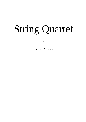## String Quartet

by

Stephen Maniam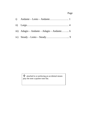## Page and the state of the state of the state of the state of the state of the state of the state of the state of the state of the state of the state of the state of the state of the state of the state of the state of the s

 $\overline{\mathsf{V}}$  attached to or prefacing an accidental means play the note a quarter tone flat.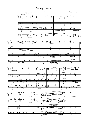## **String Quartet**

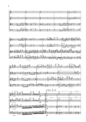







 $\overline{2}$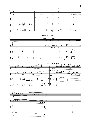





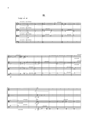

Largo  $\bullet$  = 40

|                | con sord, e non vibrato |                          |             |           | glissando |           |         |  |
|----------------|-------------------------|--------------------------|-------------|-----------|-----------|-----------|---------|--|
| $\circ$        |                         | А<br>e.                  | А<br>Ð      |           |           | ħΩ<br>অ   | 70<br>7 |  |
| $\bullet$      |                         | $_{pp}$                  |             |           |           |           |         |  |
|                | con sord, e non vibrato |                          |             | glissando |           |           |         |  |
| $\circ$        |                         |                          |             |           |           | glissando |         |  |
| $\bullet$      | $\mathbf{\Theta}$       | $\bullet$ .              | $\bullet$ . | ◢         |           | ÷.        | ïө      |  |
|                |                         | $_{pp}$                  |             |           |           |           |         |  |
|                | con sord, e non vibrato |                          |             | glissando |           | glissando |         |  |
| ŦЭ             | ↔                       | $\bullet\hspace{0.75mm}$ | Ð           |           |           | е         | -10     |  |
| $\blacksquare$ |                         |                          |             | ⊷         |           | N         |         |  |
|                |                         | $_{pp}$                  |             |           |           |           |         |  |
|                | con sord, e non vibrato |                          |             |           |           |           |         |  |
| <u>. ុ</u>     |                         |                          |             | . .       |           |           |         |  |
|                |                         |                          |             |           |           |           |         |  |



 $pp$ 

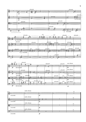





|                            | molto vibrato |                     |   |                    |  |
|----------------------------|---------------|---------------------|---|--------------------|--|
| $\frac{44}{\frac{6}{\pi}}$ | ٠e            | ÷Θ                  | ъ |                    |  |
| ∙<br>crescendo             | molto vibrato | $\int f f$          |   |                    |  |
| '诸                         |               |                     |   | $\curvearrowright$ |  |
|                            | ≏             |                     |   |                    |  |
| crescendo                  | molto vibrato | $f\hspace{-0.1cm}f$ |   |                    |  |
|                            |               | Ð                   |   | $\curvearrowright$ |  |
| 圈                          |               |                     |   |                    |  |
| crescendo                  | molto vibrato | $f\!\!f$            |   |                    |  |
| $\sim$                     | ☜             | ۰e                  |   | $\curvearrowright$ |  |
| $\overline{P}$             |               |                     |   |                    |  |

*crescendo*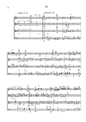



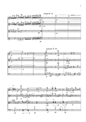



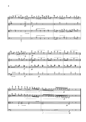



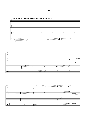$\int_{-\pi}^{\pi}$  Steady (even glissandi; no lengthening or accenting any pitch)





| $\frac{13}{6}$                |                                                    | glissando<br>$\Omega$ –               | ₩Θ                                     | īΩ<br>⊤ान                | ∄⊖−                       |
|-------------------------------|----------------------------------------------------|---------------------------------------|----------------------------------------|--------------------------|---------------------------|
|                               |                                                    | $\overline{\mathbf{o}}$ –             | ∸e−                                    | ᠊᠋ᡏᢆᢆᡴ᠊ᡴ                 | $\mathbf{H}_{\mathbf{G}}$ |
|                               |                                                    | m f                                   |                                        |                          |                           |
|                               |                                                    |                                       |                                        |                          |                           |
|                               |                                                    |                                       |                                        |                          | $\overline{ }$            |
| ⊢<br>þΘ<br>$\circ$            | $\overline{\mathbf{o}}$<br>$\overline{\mathbf{o}}$ | $\bullet$<br>$\bullet$                | πত⊤<br>موس.<br><u>്റ</u>               | ŦΘ<br>$\bullet$          | いけつ<br>glissando          |
| $\bullet$                     |                                                    |                                       |                                        |                          | $\mathbf{\Omega}$         |
|                               |                                                    |                                       |                                        |                          |                           |
|                               |                                                    |                                       |                                        | glissando                |                           |
| 书<br><del>. र</del> ू<br>DQ   | ा∞ ∙<br>┑<br>≖                                     |                                       |                                        |                          |                           |
|                               | 72                                                 |                                       |                                        | ⊖                        |                           |
|                               |                                                    |                                       |                                        |                          |                           |
|                               | glissando                                          |                                       | $\rightarrow \sigma$                   | $\sim$                   | glissando                 |
| $\Rightarrow$<br>$\mathbf{r}$ | $\bullet$                                          | $\bullet$<br>$\overline{\phantom{a}}$ | $\overline{a}$<br>$\rightarrow \infty$ | $\overline{\phantom{0}}$ | $\rightarrow$<br>ө        |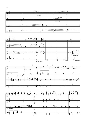





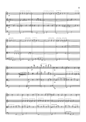





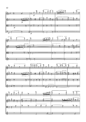





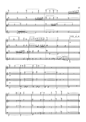





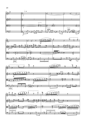





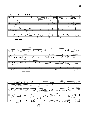